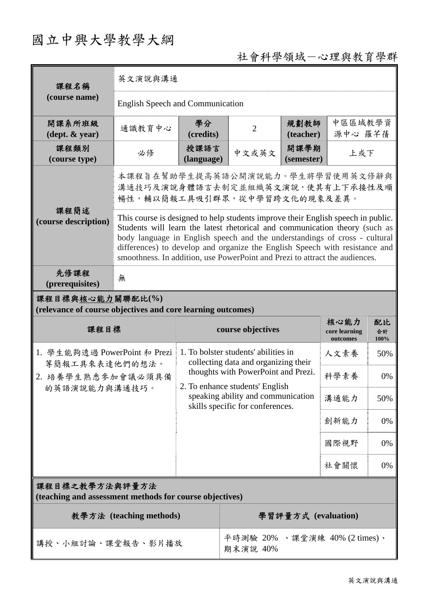# 國立中興大學教學大綱

# 社會科學領域一心理與教育學群

| 課程名稱                                                                            | 英文演說與溝通                                                                                                                                                                                                                                                                                                                                                                                                     |                    |                                                                                                           |                     |                                   |                  |  |
|---------------------------------------------------------------------------------|-------------------------------------------------------------------------------------------------------------------------------------------------------------------------------------------------------------------------------------------------------------------------------------------------------------------------------------------------------------------------------------------------------------|--------------------|-----------------------------------------------------------------------------------------------------------|---------------------|-----------------------------------|------------------|--|
| (course name)                                                                   | <b>English Speech and Communication</b>                                                                                                                                                                                                                                                                                                                                                                     |                    |                                                                                                           |                     |                                   |                  |  |
| 開課系所班級<br>$(\text{dept.} \& \text{ year})$                                      | 通識教育中心                                                                                                                                                                                                                                                                                                                                                                                                      | 學分<br>(credits)    | $\overline{2}$                                                                                            | 規劃教師<br>(teacher)   | 中區區域教學資<br>源中心 羅芊蒨                |                  |  |
| 課程類別<br>(course type)                                                           | 必修                                                                                                                                                                                                                                                                                                                                                                                                          | 授課語言<br>(language) | 中文或英文                                                                                                     | 開課學期<br>(semester)  | 上或下                               |                  |  |
|                                                                                 | 本課程旨在幫助學生提高英語公開演說能力。學生將學習使用英文修辭與<br>溝通技巧及演說身體語言去制定並組織英文演說,使其有上下承接性及順<br>暢性,輔以簡報工具吸引群眾,從中學習跨文化的現象及差異。                                                                                                                                                                                                                                                                                                        |                    |                                                                                                           |                     |                                   |                  |  |
| 課程簡述<br>(course description)                                                    | This course is designed to help students improve their English speech in public.<br>Students will learn the latest rhetorical and communication theory (such as<br>body language in English speech and the understandings of cross - cultural<br>differences) to develop and organize the English Speech with resistance and<br>smoothness. In addition, use PowerPoint and Prezi to attract the audiences. |                    |                                                                                                           |                     |                                   |                  |  |
| 先修課程<br>(prerequisites)                                                         | 無                                                                                                                                                                                                                                                                                                                                                                                                           |                    |                                                                                                           |                     |                                   |                  |  |
| 課程目標與核心能力關聯配比(%)<br>(relevance of course objectives and core learning outcomes) |                                                                                                                                                                                                                                                                                                                                                                                                             |                    |                                                                                                           |                     |                                   |                  |  |
| 課程目標                                                                            |                                                                                                                                                                                                                                                                                                                                                                                                             |                    |                                                                                                           |                     |                                   |                  |  |
|                                                                                 |                                                                                                                                                                                                                                                                                                                                                                                                             |                    | course objectives                                                                                         |                     | 核心能力<br>core learning<br>outcomes | 配比<br>合計<br>100% |  |
| 1. 學生能夠透過 PowerPoint 和 Prezi                                                    |                                                                                                                                                                                                                                                                                                                                                                                                             |                    | 1. To bolster students' abilities in                                                                      |                     | 人文素養                              | 50%              |  |
| 等簡報工具來表達他們的想法。<br>2. 培養學生熟悉參加會議必須具備                                             |                                                                                                                                                                                                                                                                                                                                                                                                             |                    | collecting data and organizing their<br>thoughts with PowerPoint and Prezi.                               |                     | 科學素養                              | 0%               |  |
| 的英語演說能力與溝通技巧。                                                                   |                                                                                                                                                                                                                                                                                                                                                                                                             |                    | 2. To enhance students' English<br>speaking ability and communication<br>skills specific for conferences. |                     | 溝通能力                              | 50%              |  |
|                                                                                 |                                                                                                                                                                                                                                                                                                                                                                                                             |                    |                                                                                                           |                     | 創新能力                              | 0%               |  |
|                                                                                 |                                                                                                                                                                                                                                                                                                                                                                                                             |                    |                                                                                                           |                     | 國際視野                              | 0%               |  |
|                                                                                 |                                                                                                                                                                                                                                                                                                                                                                                                             |                    |                                                                                                           |                     | 社會關懷                              | 0%               |  |
| 課程目標之教學方法與評量方法<br>(teaching and assessment methods for course objectives)       |                                                                                                                                                                                                                                                                                                                                                                                                             |                    |                                                                                                           |                     |                                   |                  |  |
|                                                                                 | 教學方法 (teaching methods)                                                                                                                                                                                                                                                                                                                                                                                     |                    |                                                                                                           | 學習評量方式 (evaluation) |                                   |                  |  |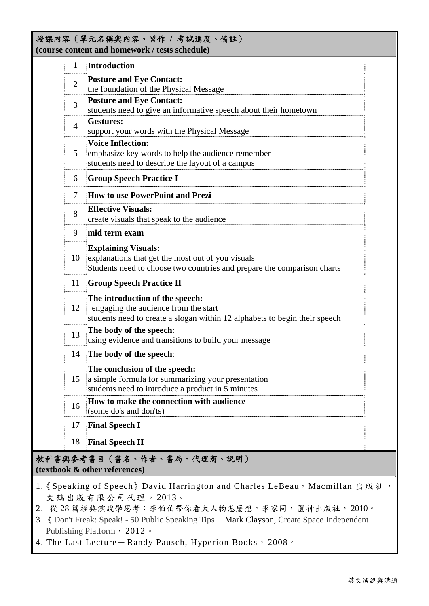#### 授課內容(單元名稱與內容、習作 **/** 考試進度、備註) **(course content and homework / tests schedule)**

| 1              | Introduction                                                                                                                                               |  |  |  |
|----------------|------------------------------------------------------------------------------------------------------------------------------------------------------------|--|--|--|
| $\overline{2}$ | <b>Posture and Eye Contact:</b><br>the foundation of the Physical Message                                                                                  |  |  |  |
| 3              | <b>Posture and Eye Contact:</b><br>students need to give an informative speech about their hometown                                                        |  |  |  |
| $\overline{4}$ | <b>Gestures:</b><br>support your words with the Physical Message                                                                                           |  |  |  |
| 5              | <b>Voice Inflection:</b><br>emphasize key words to help the audience remember<br>students need to describe the layout of a campus                          |  |  |  |
| 6              | <b>Group Speech Practice I</b>                                                                                                                             |  |  |  |
| 7              | How to use PowerPoint and Prezi                                                                                                                            |  |  |  |
| 8              | <b>Effective Visuals:</b><br>create visuals that speak to the audience                                                                                     |  |  |  |
| 9              | mid term exam                                                                                                                                              |  |  |  |
| 10             | <b>Explaining Visuals:</b><br>explanations that get the most out of you visuals<br>Students need to choose two countries and prepare the comparison charts |  |  |  |
| 11             | <b>Group Speech Practice II</b>                                                                                                                            |  |  |  |
| 12             | The introduction of the speech:<br>engaging the audience from the start<br>students need to create a slogan within 12 alphabets to begin their speech      |  |  |  |
| 13             | The body of the speech:<br>using evidence and transitions to build your message                                                                            |  |  |  |
| 14             | The body of the speech:                                                                                                                                    |  |  |  |
| 15             | The conclusion of the speech:<br>a simple formula for summarizing your presentation<br>students need to introduce a product in 5 minutes                   |  |  |  |
| 16             | How to make the connection with audience<br>(some do's and don'ts)                                                                                         |  |  |  |
| 17             | <b>Final Speech I</b>                                                                                                                                      |  |  |  |
| 18             | <b>Final Speech II</b>                                                                                                                                     |  |  |  |

教科書與參考書目(書名、作者、書局、代理商、說明) **(textbook & other references)**

- 1. 《 Speaking of Speech 》David Harrington and Charles LeBeau, Macmillan 出版社, 文鶴出版有限公司代理, 2013。
- 2. 從 28 篇經典演說學思考:李伯伯帶你看大人物怎麼想。李家同, 圓神出版社, 2010。
- 3.《 Don't Freak: Speak! 50 Public Speaking Tips- Mark Clayson, Create Space Independent Publishing Platform, 2012。
- 4. The Last Lecture-Randy Pausch, Hyperion Books, 2008。